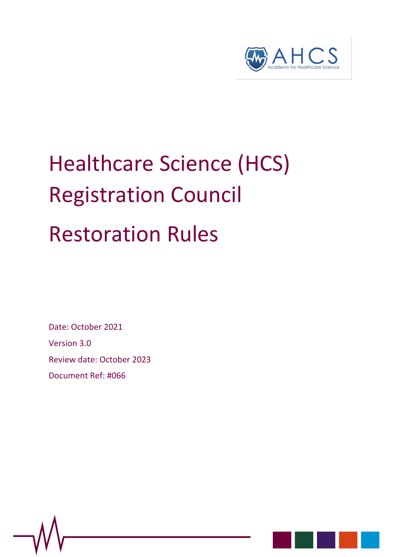

# Healthcare Science (HCS) Registration Council Restoration Rules

Date: October 2021

Version 3.0

Review date: October 2023

Document Ref: #066



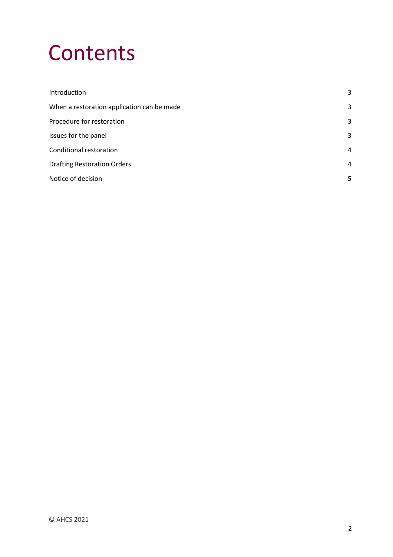# **Contents**

| Introduction                               | 3              |
|--------------------------------------------|----------------|
| When a restoration application can be made | 3              |
| Procedure for restoration                  | 3              |
| Issues for the panel                       | 3              |
| Conditional restoration                    | 4              |
| <b>Drafting Restoration Orders</b>         | $\overline{4}$ |
| Notice of decision                         | 5              |
|                                            |                |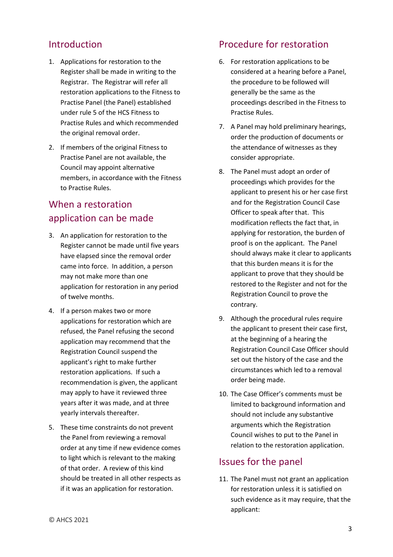#### <span id="page-2-0"></span>Introduction

- 1. Applications for restoration to the Register shall be made in writing to the Registrar. The Registrar will refer all restoration applications to the Fitness to Practise Panel (the Panel) established under rule 5 of the HCS Fitness to Practise Rules and which recommended the original removal order.
- 2. If members of the original Fitness to Practise Panel are not available, the Council may appoint alternative members, in accordance with the Fitness to Practise Rules.

# <span id="page-2-1"></span>When a restoration application can be made

- 3. An application for restoration to the Register cannot be made until five years have elapsed since the removal order came into force. In addition, a person may not make more than one application for restoration in any period of twelve months.
- 4. If a person makes two or more applications for restoration which are refused, the Panel refusing the second application may recommend that the Registration Council suspend the applicant's right to make further restoration applications. If such a recommendation is given, the applicant may apply to have it reviewed three years after it was made, and at three yearly intervals thereafter.
- 5. These time constraints do not prevent the Panel from reviewing a removal order at any time if new evidence comes to light which is relevant to the making of that order. A review of this kind should be treated in all other respects as if it was an application for restoration.

#### <span id="page-2-2"></span>Procedure for restoration

- 6. For restoration applications to be considered at a hearing before a Panel, the procedure to be followed will generally be the same as the proceedings described in the Fitness to Practise Rules.
- 7. A Panel may hold preliminary hearings, order the production of documents or the attendance of witnesses as they consider appropriate.
- 8. The Panel must adopt an order of proceedings which provides for the applicant to present his or her case first and for the Registration Council Case Officer to speak after that. This modification reflects the fact that, in applying for restoration, the burden of proof is on the applicant. The Panel should always make it clear to applicants that this burden means it is for the applicant to prove that they should be restored to the Register and not for the Registration Council to prove the contrary.
- 9. Although the procedural rules require the applicant to present their case first, at the beginning of a hearing the Registration Council Case Officer should set out the history of the case and the circumstances which led to a removal order being made.
- 10. The Case Officer's comments must be limited to background information and should not include any substantive arguments which the Registration Council wishes to put to the Panel in relation to the restoration application.

#### <span id="page-2-3"></span>Issues for the panel

11. The Panel must not grant an application for restoration unless it is satisfied on such evidence as it may require, that the applicant: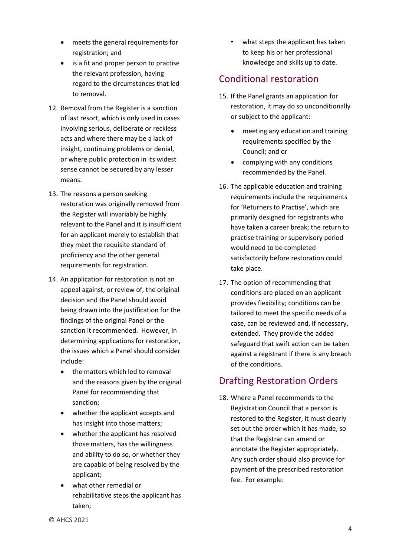- meets the general requirements for registration; and
- is a fit and proper person to practise the relevant profession, having regard to the circumstances that led to removal.
- 12. Removal from the Register is a sanction of last resort, which is only used in cases involving serious, deliberate or reckless acts and where there may be a lack of insight, continuing problems or denial, or where public protection in its widest sense cannot be secured by any lesser means.
- 13. The reasons a person seeking restoration was originally removed from the Register will invariably be highly relevant to the Panel and it is insufficient for an applicant merely to establish that they meet the requisite standard of proficiency and the other general requirements for registration.
- 14. An application for restoration is not an appeal against, or review of, the original decision and the Panel should avoid being drawn into the justification for the findings of the original Panel or the sanction it recommended. However, in determining applications for restoration, the issues which a Panel should consider include:
	- the matters which led to removal and the reasons given by the original Panel for recommending that sanction;
	- whether the applicant accepts and has insight into those matters;
	- whether the applicant has resolved those matters, has the willingness and ability to do so, or whether they are capable of being resolved by the applicant;
	- what other remedial or rehabilitative steps the applicant has taken;

• what steps the applicant has taken to keep his or her professional knowledge and skills up to date.

# <span id="page-3-0"></span>Conditional restoration

- 15. If the Panel grants an application for restoration, it may do so unconditionally or subject to the applicant:
	- meeting any education and training requirements specified by the Council; and or
	- complying with any conditions recommended by the Panel.
- 16. The applicable education and training requirements include the requirements for 'Returners to Practise', which are primarily designed for registrants who have taken a career break; the return to practise training or supervisory period would need to be completed satisfactorily before restoration could take place.
- 17. The option of recommending that conditions are placed on an applicant provides flexibility; conditions can be tailored to meet the specific needs of a case, can be reviewed and, if necessary, extended. They provide the added safeguard that swift action can be taken against a registrant if there is any breach of the conditions.

# <span id="page-3-1"></span>Drafting Restoration Orders

18. Where a Panel recommends to the Registration Council that a person is restored to the Register, it must clearly set out the order which it has made, so that the Registrar can amend or annotate the Register appropriately. Any such order should also provide for payment of the prescribed restoration fee. For example: